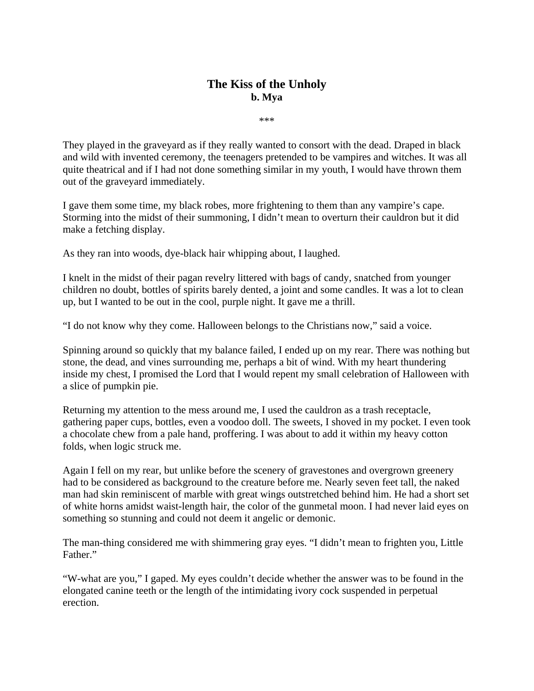## **The Kiss of the Unholy b. Mya**

\*\*\*

They played in the graveyard as if they really wanted to consort with the dead. Draped in black and wild with invented ceremony, the teenagers pretended to be vampires and witches. It was all quite theatrical and if I had not done something similar in my youth, I would have thrown them out of the graveyard immediately.

I gave them some time, my black robes, more frightening to them than any vampire's cape. Storming into the midst of their summoning, I didn't mean to overturn their cauldron but it did make a fetching display.

As they ran into woods, dye-black hair whipping about, I laughed.

I knelt in the midst of their pagan revelry littered with bags of candy, snatched from younger children no doubt, bottles of spirits barely dented, a joint and some candles. It was a lot to clean up, but I wanted to be out in the cool, purple night. It gave me a thrill.

"I do not know why they come. Halloween belongs to the Christians now," said a voice.

Spinning around so quickly that my balance failed, I ended up on my rear. There was nothing but stone, the dead, and vines surrounding me, perhaps a bit of wind. With my heart thundering inside my chest, I promised the Lord that I would repent my small celebration of Halloween with a slice of pumpkin pie.

Returning my attention to the mess around me, I used the cauldron as a trash receptacle, gathering paper cups, bottles, even a voodoo doll. The sweets, I shoved in my pocket. I even took a chocolate chew from a pale hand, proffering. I was about to add it within my heavy cotton folds, when logic struck me.

Again I fell on my rear, but unlike before the scenery of gravestones and overgrown greenery had to be considered as background to the creature before me. Nearly seven feet tall, the naked man had skin reminiscent of marble with great wings outstretched behind him. He had a short set of white horns amidst waist-length hair, the color of the gunmetal moon. I had never laid eyes on something so stunning and could not deem it angelic or demonic.

The man-thing considered me with shimmering gray eyes. "I didn't mean to frighten you, Little Father."

"W-what are you," I gaped. My eyes couldn't decide whether the answer was to be found in the elongated canine teeth or the length of the intimidating ivory cock suspended in perpetual erection.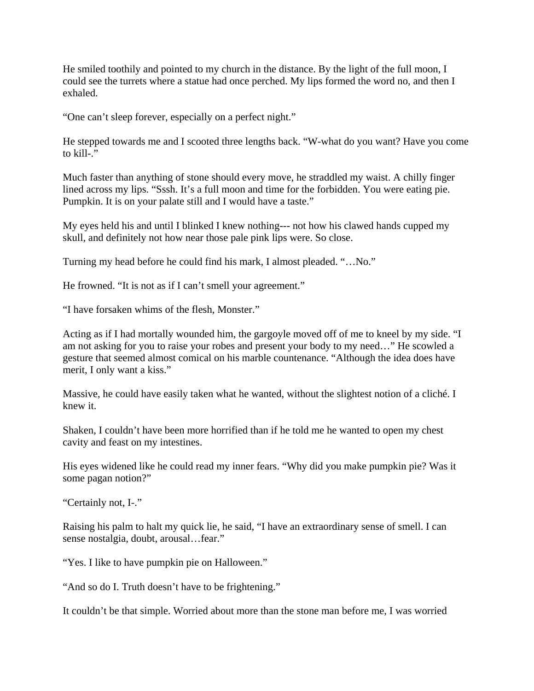He smiled toothily and pointed to my church in the distance. By the light of the full moon, I could see the turrets where a statue had once perched. My lips formed the word no, and then I exhaled.

"One can't sleep forever, especially on a perfect night."

He stepped towards me and I scooted three lengths back. "W-what do you want? Have you come to kill-."

Much faster than anything of stone should every move, he straddled my waist. A chilly finger lined across my lips. "Sssh. It's a full moon and time for the forbidden. You were eating pie. Pumpkin. It is on your palate still and I would have a taste."

My eyes held his and until I blinked I knew nothing--- not how his clawed hands cupped my skull, and definitely not how near those pale pink lips were. So close.

Turning my head before he could find his mark, I almost pleaded. "…No."

He frowned. "It is not as if I can't smell your agreement."

"I have forsaken whims of the flesh, Monster."

Acting as if I had mortally wounded him, the gargoyle moved off of me to kneel by my side. "I am not asking for you to raise your robes and present your body to my need…" He scowled a gesture that seemed almost comical on his marble countenance. "Although the idea does have merit, I only want a kiss."

Massive, he could have easily taken what he wanted, without the slightest notion of a cliché. I knew it.

Shaken, I couldn't have been more horrified than if he told me he wanted to open my chest cavity and feast on my intestines.

His eyes widened like he could read my inner fears. "Why did you make pumpkin pie? Was it some pagan notion?"

"Certainly not, I-."

Raising his palm to halt my quick lie, he said, "I have an extraordinary sense of smell. I can sense nostalgia, doubt, arousal…fear."

"Yes. I like to have pumpkin pie on Halloween."

"And so do I. Truth doesn't have to be frightening."

It couldn't be that simple. Worried about more than the stone man before me, I was worried